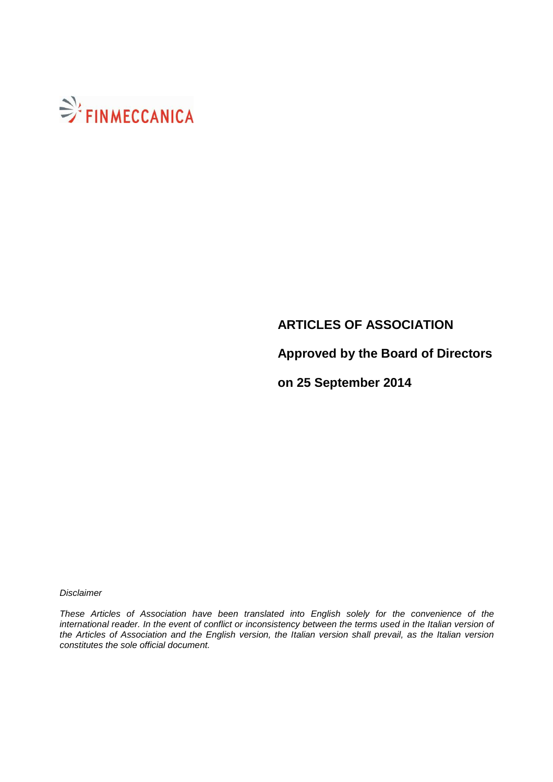

# **ARTICLES OF ASSOCIATION**

**Approved by the Board of Directors** 

**on 25 September 2014** 

**Disclaimer** 

These Articles of Association have been translated into English solely for the convenience of the international reader. In the event of conflict or inconsistency between the terms used in the Italian version of the Articles of Association and the English version, the Italian version shall prevail, as the Italian version constitutes the sole official document.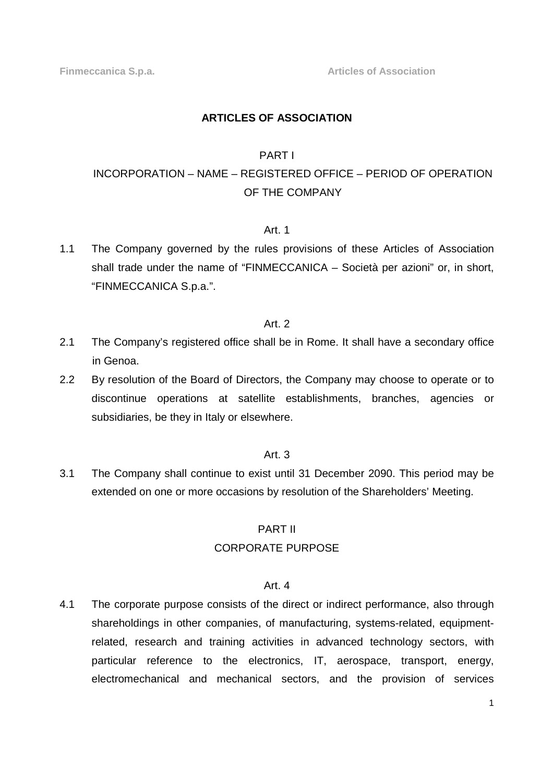## **ARTICLES OF ASSOCIATION**

## PART I

# INCORPORATION – NAME – REGISTERED OFFICE – PERIOD OF OPERATION OF THE COMPANY

# Art. 1

1.1 The Company governed by the rules provisions of these Articles of Association shall trade under the name of "FINMECCANICA – Società per azioni" or, in short, "FINMECCANICA S.p.a.".

## Art. 2

- 2.1 The Company's registered office shall be in Rome. It shall have a secondary office in Genoa.
- 2.2 By resolution of the Board of Directors, the Company may choose to operate or to discontinue operations at satellite establishments, branches, agencies or subsidiaries, be they in Italy or elsewhere.

#### Art. 3

3.1 The Company shall continue to exist until 31 December 2090. This period may be extended on one or more occasions by resolution of the Shareholders' Meeting.

#### PART II

#### CORPORATE PURPOSE

#### Art. 4

4.1 The corporate purpose consists of the direct or indirect performance, also through shareholdings in other companies, of manufacturing, systems-related, equipmentrelated, research and training activities in advanced technology sectors, with particular reference to the electronics, IT, aerospace, transport, energy, electromechanical and mechanical sectors, and the provision of services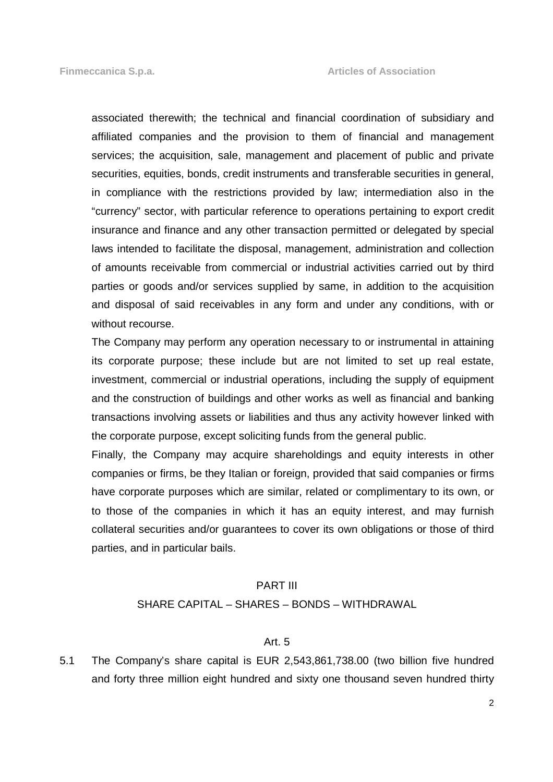associated therewith; the technical and financial coordination of subsidiary and affiliated companies and the provision to them of financial and management services; the acquisition, sale, management and placement of public and private securities, equities, bonds, credit instruments and transferable securities in general, in compliance with the restrictions provided by law; intermediation also in the "currency" sector, with particular reference to operations pertaining to export credit insurance and finance and any other transaction permitted or delegated by special laws intended to facilitate the disposal, management, administration and collection of amounts receivable from commercial or industrial activities carried out by third parties or goods and/or services supplied by same, in addition to the acquisition and disposal of said receivables in any form and under any conditions, with or without recourse.

 The Company may perform any operation necessary to or instrumental in attaining its corporate purpose; these include but are not limited to set up real estate, investment, commercial or industrial operations, including the supply of equipment and the construction of buildings and other works as well as financial and banking transactions involving assets or liabilities and thus any activity however linked with the corporate purpose, except soliciting funds from the general public.

 Finally, the Company may acquire shareholdings and equity interests in other companies or firms, be they Italian or foreign, provided that said companies or firms have corporate purposes which are similar, related or complimentary to its own, or to those of the companies in which it has an equity interest, and may furnish collateral securities and/or guarantees to cover its own obligations or those of third parties, and in particular bails.

#### PART III

#### SHARE CAPITAL – SHARES – BONDS – WITHDRAWAL

#### Art. 5

5.1 The Company's share capital is EUR 2,543,861,738.00 (two billion five hundred and forty three million eight hundred and sixty one thousand seven hundred thirty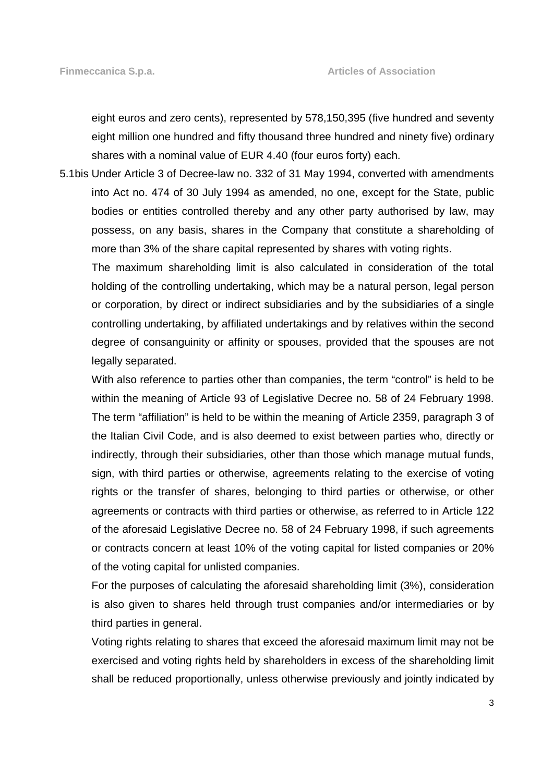eight euros and zero cents), represented by 578,150,395 (five hundred and seventy eight million one hundred and fifty thousand three hundred and ninety five) ordinary shares with a nominal value of EUR 4.40 (four euros forty) each.

5.1bis Under Article 3 of Decree-law no. 332 of 31 May 1994, converted with amendments into Act no. 474 of 30 July 1994 as amended, no one, except for the State, public bodies or entities controlled thereby and any other party authorised by law, may possess, on any basis, shares in the Company that constitute a shareholding of more than 3% of the share capital represented by shares with voting rights.

 The maximum shareholding limit is also calculated in consideration of the total holding of the controlling undertaking, which may be a natural person, legal person or corporation, by direct or indirect subsidiaries and by the subsidiaries of a single controlling undertaking, by affiliated undertakings and by relatives within the second degree of consanguinity or affinity or spouses, provided that the spouses are not legally separated.

 With also reference to parties other than companies, the term "control" is held to be within the meaning of Article 93 of Legislative Decree no. 58 of 24 February 1998. The term "affiliation" is held to be within the meaning of Article 2359, paragraph 3 of the Italian Civil Code, and is also deemed to exist between parties who, directly or indirectly, through their subsidiaries, other than those which manage mutual funds, sign, with third parties or otherwise, agreements relating to the exercise of voting rights or the transfer of shares, belonging to third parties or otherwise, or other agreements or contracts with third parties or otherwise, as referred to in Article 122 of the aforesaid Legislative Decree no. 58 of 24 February 1998, if such agreements or contracts concern at least 10% of the voting capital for listed companies or 20% of the voting capital for unlisted companies.

 For the purposes of calculating the aforesaid shareholding limit (3%), consideration is also given to shares held through trust companies and/or intermediaries or by third parties in general.

 Voting rights relating to shares that exceed the aforesaid maximum limit may not be exercised and voting rights held by shareholders in excess of the shareholding limit shall be reduced proportionally, unless otherwise previously and jointly indicated by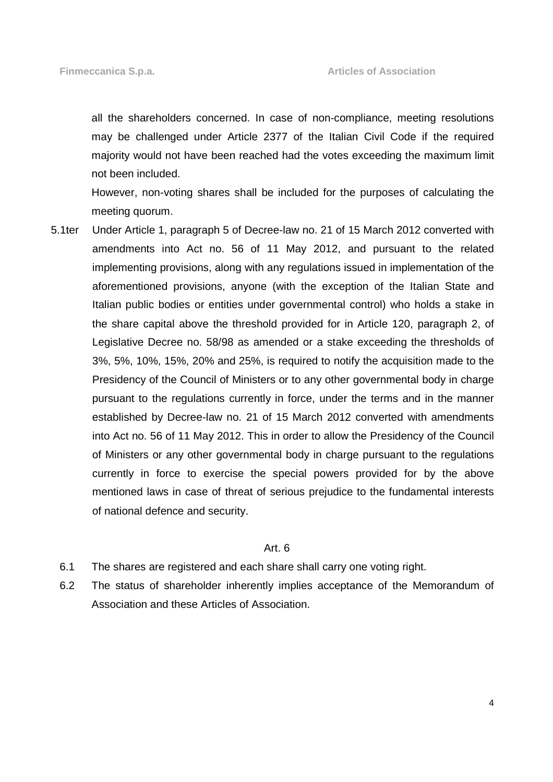all the shareholders concerned. In case of non-compliance, meeting resolutions may be challenged under Article 2377 of the Italian Civil Code if the required majority would not have been reached had the votes exceeding the maximum limit not been included.

 However, non-voting shares shall be included for the purposes of calculating the meeting quorum.

5.1ter Under Article 1, paragraph 5 of Decree-law no. 21 of 15 March 2012 converted with amendments into Act no. 56 of 11 May 2012, and pursuant to the related implementing provisions, along with any regulations issued in implementation of the aforementioned provisions, anyone (with the exception of the Italian State and Italian public bodies or entities under governmental control) who holds a stake in the share capital above the threshold provided for in Article 120, paragraph 2, of Legislative Decree no. 58/98 as amended or a stake exceeding the thresholds of 3%, 5%, 10%, 15%, 20% and 25%, is required to notify the acquisition made to the Presidency of the Council of Ministers or to any other governmental body in charge pursuant to the regulations currently in force, under the terms and in the manner established by Decree-law no. 21 of 15 March 2012 converted with amendments into Act no. 56 of 11 May 2012. This in order to allow the Presidency of the Council of Ministers or any other governmental body in charge pursuant to the regulations currently in force to exercise the special powers provided for by the above mentioned laws in case of threat of serious prejudice to the fundamental interests of national defence and security.

#### Art. 6

- 6.1 The shares are registered and each share shall carry one voting right.
- 6.2 The status of shareholder inherently implies acceptance of the Memorandum of Association and these Articles of Association.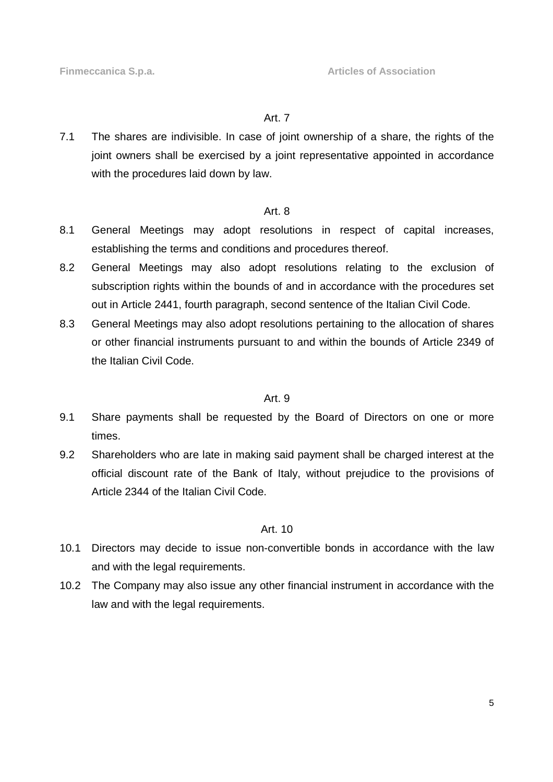#### Art. 7

7.1 The shares are indivisible. In case of joint ownership of a share, the rights of the joint owners shall be exercised by a joint representative appointed in accordance with the procedures laid down by law.

#### Art. 8

- 8.1 General Meetings may adopt resolutions in respect of capital increases, establishing the terms and conditions and procedures thereof.
- 8.2 General Meetings may also adopt resolutions relating to the exclusion of subscription rights within the bounds of and in accordance with the procedures set out in Article 2441, fourth paragraph, second sentence of the Italian Civil Code.
- 8.3 General Meetings may also adopt resolutions pertaining to the allocation of shares or other financial instruments pursuant to and within the bounds of Article 2349 of the Italian Civil Code.

#### Art. 9

- 9.1 Share payments shall be requested by the Board of Directors on one or more times.
- 9.2 Shareholders who are late in making said payment shall be charged interest at the official discount rate of the Bank of Italy, without prejudice to the provisions of Article 2344 of the Italian Civil Code.

#### Art. 10

- 10.1 Directors may decide to issue non-convertible bonds in accordance with the law and with the legal requirements.
- 10.2 The Company may also issue any other financial instrument in accordance with the law and with the legal requirements.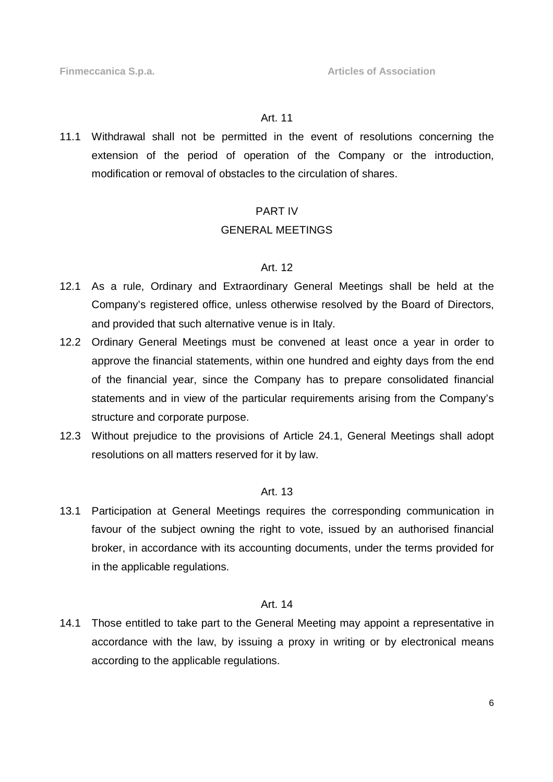## Art. 11

11.1 Withdrawal shall not be permitted in the event of resolutions concerning the extension of the period of operation of the Company or the introduction, modification or removal of obstacles to the circulation of shares.

## PART IV

# GENERAL MEETINGS

## Art. 12

- 12.1 As a rule, Ordinary and Extraordinary General Meetings shall be held at the Company's registered office, unless otherwise resolved by the Board of Directors, and provided that such alternative venue is in Italy.
- 12.2 Ordinary General Meetings must be convened at least once a year in order to approve the financial statements, within one hundred and eighty days from the end of the financial year, since the Company has to prepare consolidated financial statements and in view of the particular requirements arising from the Company's structure and corporate purpose.
- 12.3 Without prejudice to the provisions of Article 24.1, General Meetings shall adopt resolutions on all matters reserved for it by law.

# Art. 13

13.1 Participation at General Meetings requires the corresponding communication in favour of the subject owning the right to vote, issued by an authorised financial broker, in accordance with its accounting documents, under the terms provided for in the applicable regulations.

## Art. 14

14.1 Those entitled to take part to the General Meeting may appoint a representative in accordance with the law, by issuing a proxy in writing or by electronical means according to the applicable regulations.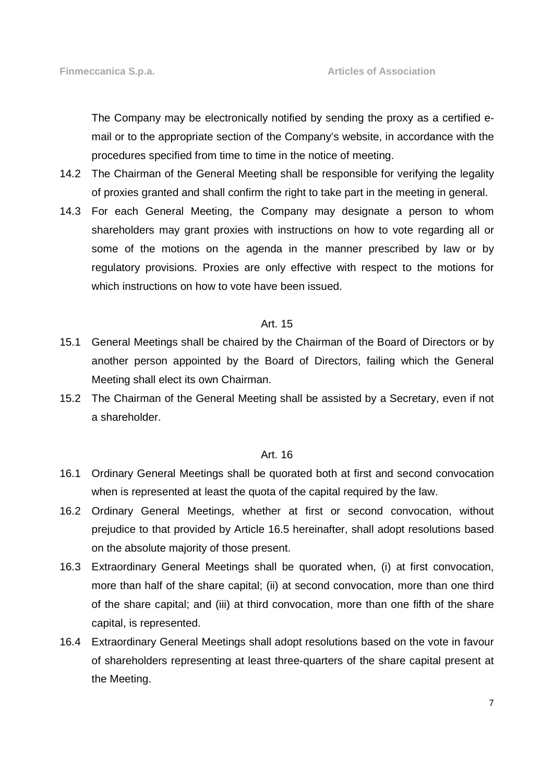The Company may be electronically notified by sending the proxy as a certified email or to the appropriate section of the Company's website, in accordance with the procedures specified from time to time in the notice of meeting.

- 14.2 The Chairman of the General Meeting shall be responsible for verifying the legality of proxies granted and shall confirm the right to take part in the meeting in general.
- 14.3 For each General Meeting, the Company may designate a person to whom shareholders may grant proxies with instructions on how to vote regarding all or some of the motions on the agenda in the manner prescribed by law or by regulatory provisions. Proxies are only effective with respect to the motions for which instructions on how to vote have been issued.

# Art. 15

- 15.1 General Meetings shall be chaired by the Chairman of the Board of Directors or by another person appointed by the Board of Directors, failing which the General Meeting shall elect its own Chairman.
- 15.2 The Chairman of the General Meeting shall be assisted by a Secretary, even if not a shareholder.

#### Art. 16

- 16.1 Ordinary General Meetings shall be quorated both at first and second convocation when is represented at least the quota of the capital required by the law.
- 16.2 Ordinary General Meetings, whether at first or second convocation, without prejudice to that provided by Article 16.5 hereinafter, shall adopt resolutions based on the absolute majority of those present.
- 16.3 Extraordinary General Meetings shall be quorated when, (i) at first convocation, more than half of the share capital; (ii) at second convocation, more than one third of the share capital; and (iii) at third convocation, more than one fifth of the share capital, is represented.
- 16.4 Extraordinary General Meetings shall adopt resolutions based on the vote in favour of shareholders representing at least three-quarters of the share capital present at the Meeting.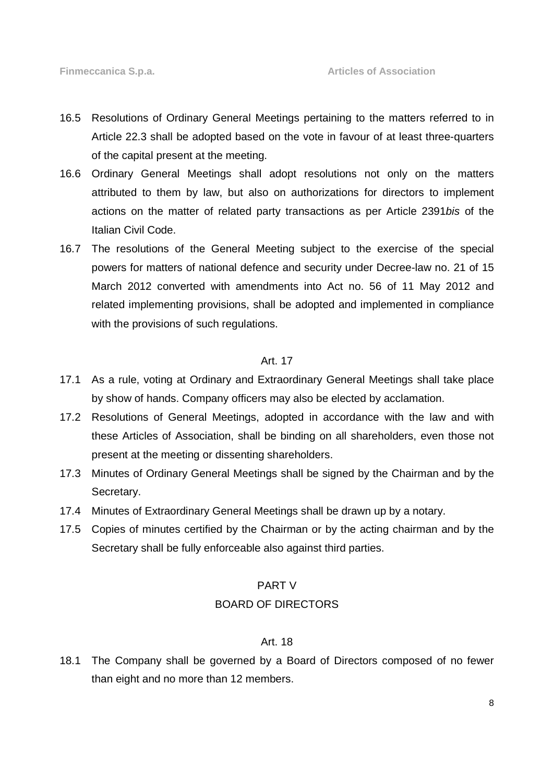- 16.5 Resolutions of Ordinary General Meetings pertaining to the matters referred to in Article 22.3 shall be adopted based on the vote in favour of at least three-quarters of the capital present at the meeting.
- 16.6 Ordinary General Meetings shall adopt resolutions not only on the matters attributed to them by law, but also on authorizations for directors to implement actions on the matter of related party transactions as per Article 2391bis of the Italian Civil Code.
- 16.7 The resolutions of the General Meeting subject to the exercise of the special powers for matters of national defence and security under Decree-law no. 21 of 15 March 2012 converted with amendments into Act no. 56 of 11 May 2012 and related implementing provisions, shall be adopted and implemented in compliance with the provisions of such regulations.

## Art. 17

- 17.1 As a rule, voting at Ordinary and Extraordinary General Meetings shall take place by show of hands. Company officers may also be elected by acclamation.
- 17.2 Resolutions of General Meetings, adopted in accordance with the law and with these Articles of Association, shall be binding on all shareholders, even those not present at the meeting or dissenting shareholders.
- 17.3 Minutes of Ordinary General Meetings shall be signed by the Chairman and by the Secretary.
- 17.4 Minutes of Extraordinary General Meetings shall be drawn up by a notary.
- 17.5 Copies of minutes certified by the Chairman or by the acting chairman and by the Secretary shall be fully enforceable also against third parties.

#### PART V

#### BOARD OF DIRECTORS

#### Art. 18

18.1 The Company shall be governed by a Board of Directors composed of no fewer than eight and no more than 12 members.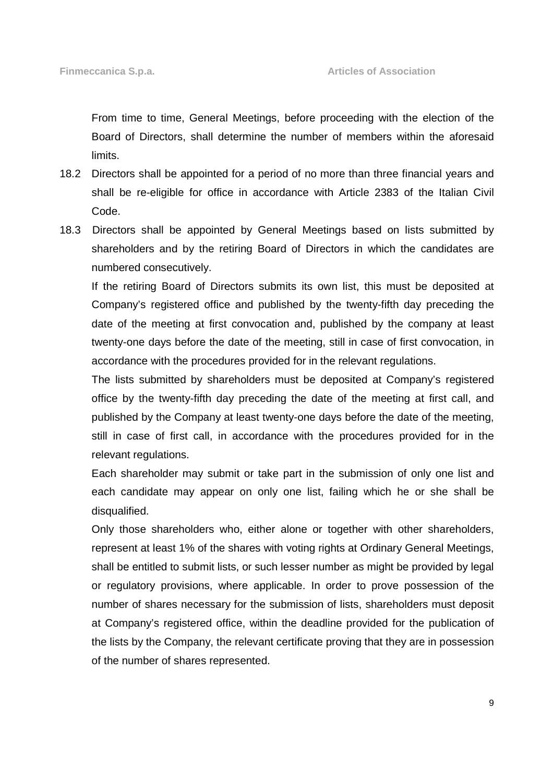From time to time, General Meetings, before proceeding with the election of the Board of Directors, shall determine the number of members within the aforesaid limits.

- 18.2 Directors shall be appointed for a period of no more than three financial years and shall be re-eligible for office in accordance with Article 2383 of the Italian Civil Code.
- 18.3 Directors shall be appointed by General Meetings based on lists submitted by shareholders and by the retiring Board of Directors in which the candidates are numbered consecutively.

 If the retiring Board of Directors submits its own list, this must be deposited at Company's registered office and published by the twenty-fifth day preceding the date of the meeting at first convocation and, published by the company at least twenty-one days before the date of the meeting, still in case of first convocation, in accordance with the procedures provided for in the relevant regulations.

 The lists submitted by shareholders must be deposited at Company's registered office by the twenty-fifth day preceding the date of the meeting at first call, and published by the Company at least twenty-one days before the date of the meeting, still in case of first call, in accordance with the procedures provided for in the relevant regulations.

 Each shareholder may submit or take part in the submission of only one list and each candidate may appear on only one list, failing which he or she shall be disqualified.

 Only those shareholders who, either alone or together with other shareholders, represent at least 1% of the shares with voting rights at Ordinary General Meetings, shall be entitled to submit lists, or such lesser number as might be provided by legal or regulatory provisions, where applicable. In order to prove possession of the number of shares necessary for the submission of lists, shareholders must deposit at Company's registered office, within the deadline provided for the publication of the lists by the Company, the relevant certificate proving that they are in possession of the number of shares represented.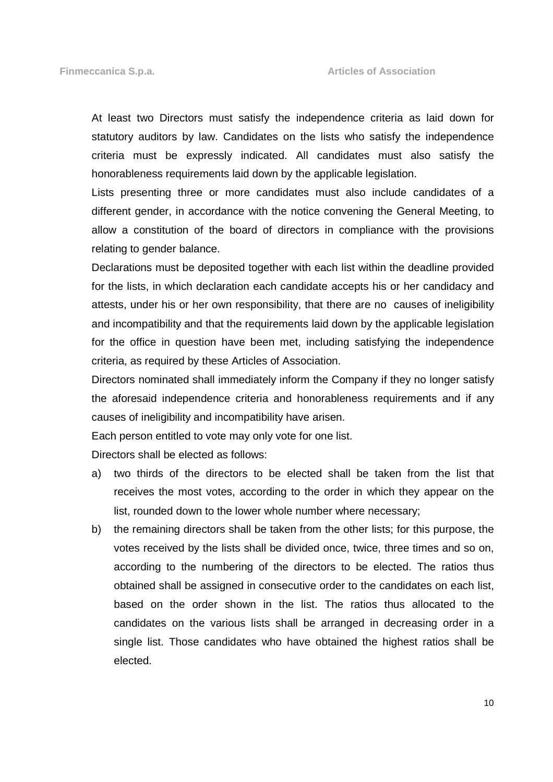At least two Directors must satisfy the independence criteria as laid down for statutory auditors by law. Candidates on the lists who satisfy the independence criteria must be expressly indicated. All candidates must also satisfy the honorableness requirements laid down by the applicable legislation.

 Lists presenting three or more candidates must also include candidates of a different gender, in accordance with the notice convening the General Meeting, to allow a constitution of the board of directors in compliance with the provisions relating to gender balance.

 Declarations must be deposited together with each list within the deadline provided for the lists, in which declaration each candidate accepts his or her candidacy and attests, under his or her own responsibility, that there are no causes of ineligibility and incompatibility and that the requirements laid down by the applicable legislation for the office in question have been met, including satisfying the independence criteria, as required by these Articles of Association.

 Directors nominated shall immediately inform the Company if they no longer satisfy the aforesaid independence criteria and honorableness requirements and if any causes of ineligibility and incompatibility have arisen.

Each person entitled to vote may only vote for one list.

Directors shall be elected as follows:

- a) two thirds of the directors to be elected shall be taken from the list that receives the most votes, according to the order in which they appear on the list, rounded down to the lower whole number where necessary;
- b) the remaining directors shall be taken from the other lists; for this purpose, the votes received by the lists shall be divided once, twice, three times and so on, according to the numbering of the directors to be elected. The ratios thus obtained shall be assigned in consecutive order to the candidates on each list, based on the order shown in the list. The ratios thus allocated to the candidates on the various lists shall be arranged in decreasing order in a single list. Those candidates who have obtained the highest ratios shall be elected.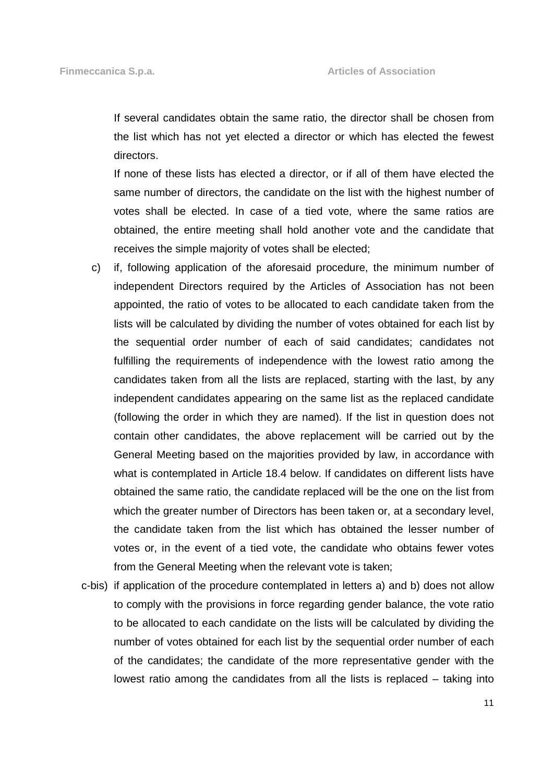If several candidates obtain the same ratio, the director shall be chosen from the list which has not yet elected a director or which has elected the fewest directors.

If none of these lists has elected a director, or if all of them have elected the same number of directors, the candidate on the list with the highest number of votes shall be elected. In case of a tied vote, where the same ratios are obtained, the entire meeting shall hold another vote and the candidate that receives the simple majority of votes shall be elected;

- c) if, following application of the aforesaid procedure, the minimum number of independent Directors required by the Articles of Association has not been appointed, the ratio of votes to be allocated to each candidate taken from the lists will be calculated by dividing the number of votes obtained for each list by the sequential order number of each of said candidates; candidates not fulfilling the requirements of independence with the lowest ratio among the candidates taken from all the lists are replaced, starting with the last, by any independent candidates appearing on the same list as the replaced candidate (following the order in which they are named). If the list in question does not contain other candidates, the above replacement will be carried out by the General Meeting based on the majorities provided by law, in accordance with what is contemplated in Article 18.4 below. If candidates on different lists have obtained the same ratio, the candidate replaced will be the one on the list from which the greater number of Directors has been taken or, at a secondary level, the candidate taken from the list which has obtained the lesser number of votes or, in the event of a tied vote, the candidate who obtains fewer votes from the General Meeting when the relevant vote is taken;
- c-bis) if application of the procedure contemplated in letters a) and b) does not allow to comply with the provisions in force regarding gender balance, the vote ratio to be allocated to each candidate on the lists will be calculated by dividing the number of votes obtained for each list by the sequential order number of each of the candidates; the candidate of the more representative gender with the lowest ratio among the candidates from all the lists is replaced – taking into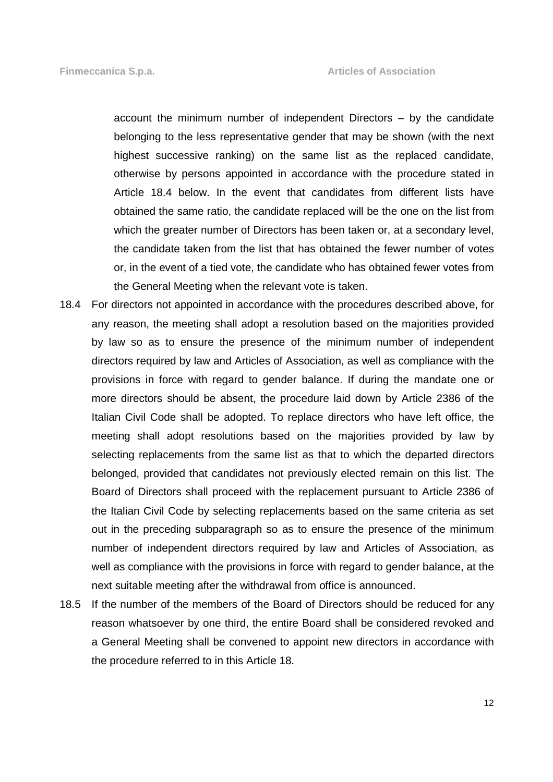account the minimum number of independent Directors – by the candidate belonging to the less representative gender that may be shown (with the next highest successive ranking) on the same list as the replaced candidate, otherwise by persons appointed in accordance with the procedure stated in Article 18.4 below. In the event that candidates from different lists have obtained the same ratio, the candidate replaced will be the one on the list from which the greater number of Directors has been taken or, at a secondary level, the candidate taken from the list that has obtained the fewer number of votes or, in the event of a tied vote, the candidate who has obtained fewer votes from the General Meeting when the relevant vote is taken.

- 18.4 For directors not appointed in accordance with the procedures described above, for any reason, the meeting shall adopt a resolution based on the majorities provided by law so as to ensure the presence of the minimum number of independent directors required by law and Articles of Association, as well as compliance with the provisions in force with regard to gender balance. If during the mandate one or more directors should be absent, the procedure laid down by Article 2386 of the Italian Civil Code shall be adopted. To replace directors who have left office, the meeting shall adopt resolutions based on the majorities provided by law by selecting replacements from the same list as that to which the departed directors belonged, provided that candidates not previously elected remain on this list. The Board of Directors shall proceed with the replacement pursuant to Article 2386 of the Italian Civil Code by selecting replacements based on the same criteria as set out in the preceding subparagraph so as to ensure the presence of the minimum number of independent directors required by law and Articles of Association, as well as compliance with the provisions in force with regard to gender balance, at the next suitable meeting after the withdrawal from office is announced.
- 18.5 If the number of the members of the Board of Directors should be reduced for any reason whatsoever by one third, the entire Board shall be considered revoked and a General Meeting shall be convened to appoint new directors in accordance with the procedure referred to in this Article 18.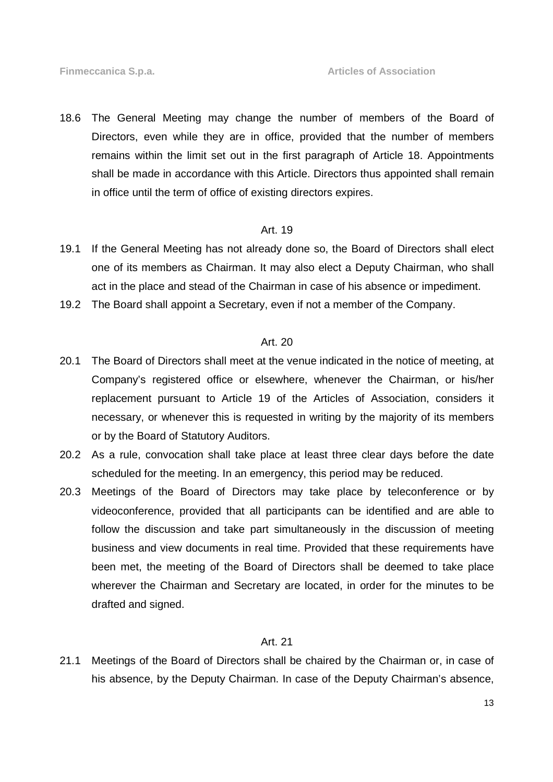18.6 The General Meeting may change the number of members of the Board of Directors, even while they are in office, provided that the number of members remains within the limit set out in the first paragraph of Article 18. Appointments shall be made in accordance with this Article. Directors thus appointed shall remain in office until the term of office of existing directors expires.

#### Art. 19

- 19.1 If the General Meeting has not already done so, the Board of Directors shall elect one of its members as Chairman. It may also elect a Deputy Chairman, who shall act in the place and stead of the Chairman in case of his absence or impediment.
- 19.2 The Board shall appoint a Secretary, even if not a member of the Company.

## Art. 20

- 20.1 The Board of Directors shall meet at the venue indicated in the notice of meeting, at Company's registered office or elsewhere, whenever the Chairman, or his/her replacement pursuant to Article 19 of the Articles of Association, considers it necessary, or whenever this is requested in writing by the majority of its members or by the Board of Statutory Auditors.
- 20.2 As a rule, convocation shall take place at least three clear days before the date scheduled for the meeting. In an emergency, this period may be reduced.
- 20.3 Meetings of the Board of Directors may take place by teleconference or by videoconference, provided that all participants can be identified and are able to follow the discussion and take part simultaneously in the discussion of meeting business and view documents in real time. Provided that these requirements have been met, the meeting of the Board of Directors shall be deemed to take place wherever the Chairman and Secretary are located, in order for the minutes to be drafted and signed.

#### Art. 21

21.1 Meetings of the Board of Directors shall be chaired by the Chairman or, in case of his absence, by the Deputy Chairman. In case of the Deputy Chairman's absence,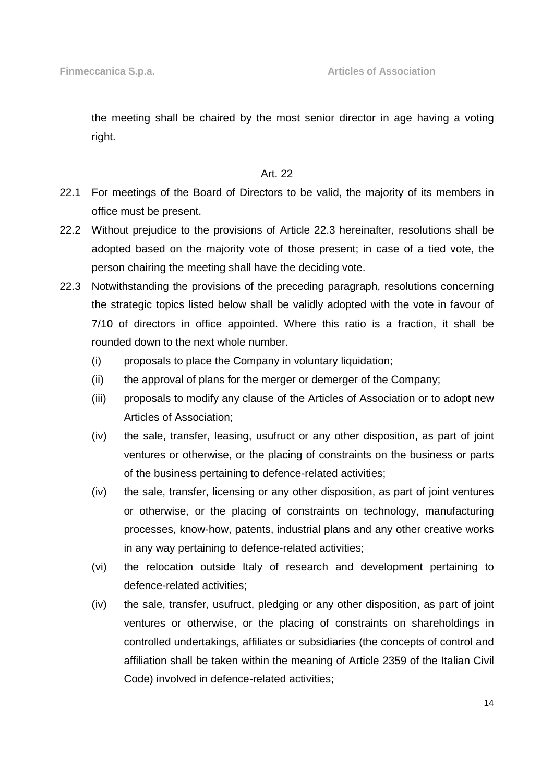the meeting shall be chaired by the most senior director in age having a voting right.

## Art. 22

- 22.1 For meetings of the Board of Directors to be valid, the majority of its members in office must be present.
- 22.2 Without prejudice to the provisions of Article 22.3 hereinafter, resolutions shall be adopted based on the majority vote of those present; in case of a tied vote, the person chairing the meeting shall have the deciding vote.
- 22.3 Notwithstanding the provisions of the preceding paragraph, resolutions concerning the strategic topics listed below shall be validly adopted with the vote in favour of 7/10 of directors in office appointed. Where this ratio is a fraction, it shall be rounded down to the next whole number.
	- (i) proposals to place the Company in voluntary liquidation;
	- (ii) the approval of plans for the merger or demerger of the Company;
	- (iii) proposals to modify any clause of the Articles of Association or to adopt new Articles of Association;
	- (iv) the sale, transfer, leasing, usufruct or any other disposition, as part of joint ventures or otherwise, or the placing of constraints on the business or parts of the business pertaining to defence-related activities;
	- (iv) the sale, transfer, licensing or any other disposition, as part of joint ventures or otherwise, or the placing of constraints on technology, manufacturing processes, know-how, patents, industrial plans and any other creative works in any way pertaining to defence-related activities;
	- (vi) the relocation outside Italy of research and development pertaining to defence-related activities;
	- (iv) the sale, transfer, usufruct, pledging or any other disposition, as part of joint ventures or otherwise, or the placing of constraints on shareholdings in controlled undertakings, affiliates or subsidiaries (the concepts of control and affiliation shall be taken within the meaning of Article 2359 of the Italian Civil Code) involved in defence-related activities;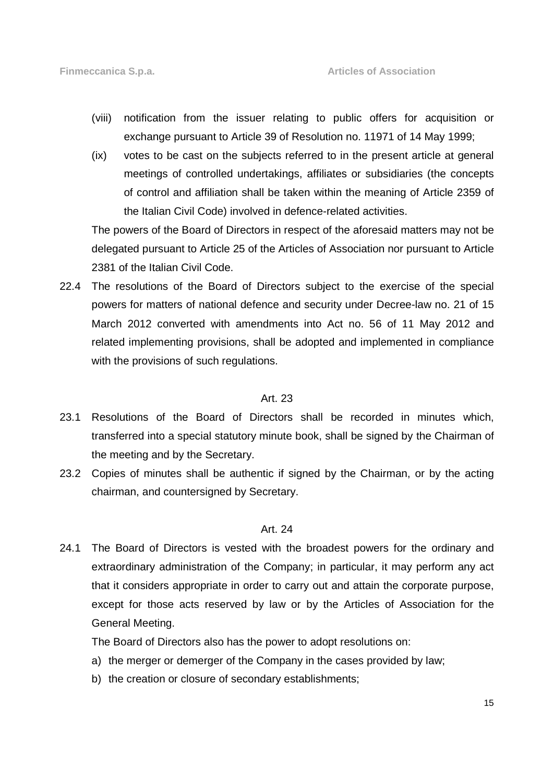- (viii) notification from the issuer relating to public offers for acquisition or exchange pursuant to Article 39 of Resolution no. 11971 of 14 May 1999;
- (ix) votes to be cast on the subjects referred to in the present article at general meetings of controlled undertakings, affiliates or subsidiaries (the concepts of control and affiliation shall be taken within the meaning of Article 2359 of the Italian Civil Code) involved in defence-related activities.

The powers of the Board of Directors in respect of the aforesaid matters may not be delegated pursuant to Article 25 of the Articles of Association nor pursuant to Article 2381 of the Italian Civil Code.

22.4 The resolutions of the Board of Directors subject to the exercise of the special powers for matters of national defence and security under Decree-law no. 21 of 15 March 2012 converted with amendments into Act no. 56 of 11 May 2012 and related implementing provisions, shall be adopted and implemented in compliance with the provisions of such regulations.

#### Art. 23

- 23.1 Resolutions of the Board of Directors shall be recorded in minutes which, transferred into a special statutory minute book, shall be signed by the Chairman of the meeting and by the Secretary.
- 23.2 Copies of minutes shall be authentic if signed by the Chairman, or by the acting chairman, and countersigned by Secretary.

## Art. 24

24.1 The Board of Directors is vested with the broadest powers for the ordinary and extraordinary administration of the Company; in particular, it may perform any act that it considers appropriate in order to carry out and attain the corporate purpose, except for those acts reserved by law or by the Articles of Association for the General Meeting.

The Board of Directors also has the power to adopt resolutions on:

- a) the merger or demerger of the Company in the cases provided by law;
- b) the creation or closure of secondary establishments;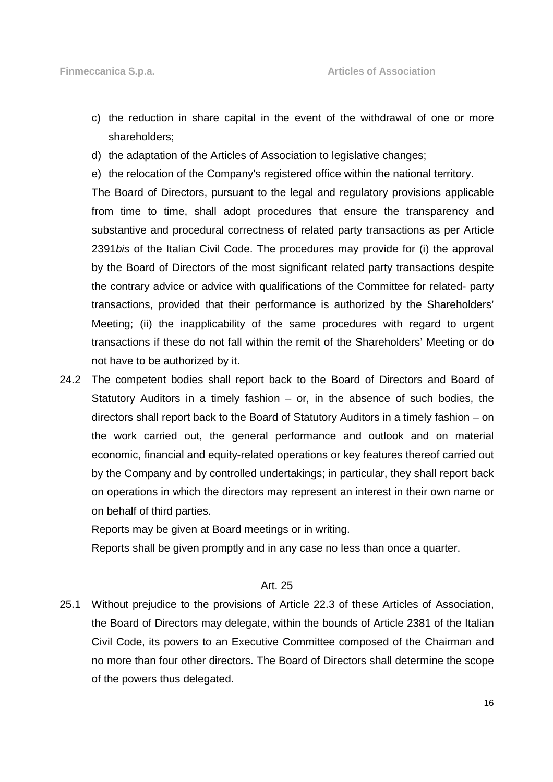- c) the reduction in share capital in the event of the withdrawal of one or more shareholders;
- d) the adaptation of the Articles of Association to legislative changes;
- e) the relocation of the Company's registered office within the national territory.

The Board of Directors, pursuant to the legal and regulatory provisions applicable from time to time, shall adopt procedures that ensure the transparency and substantive and procedural correctness of related party transactions as per Article 2391bis of the Italian Civil Code. The procedures may provide for (i) the approval by the Board of Directors of the most significant related party transactions despite the contrary advice or advice with qualifications of the Committee for related- party transactions, provided that their performance is authorized by the Shareholders' Meeting; (ii) the inapplicability of the same procedures with regard to urgent transactions if these do not fall within the remit of the Shareholders' Meeting or do not have to be authorized by it.

24.2 The competent bodies shall report back to the Board of Directors and Board of Statutory Auditors in a timely fashion – or, in the absence of such bodies, the directors shall report back to the Board of Statutory Auditors in a timely fashion – on the work carried out, the general performance and outlook and on material economic, financial and equity-related operations or key features thereof carried out by the Company and by controlled undertakings; in particular, they shall report back on operations in which the directors may represent an interest in their own name or on behalf of third parties.

Reports may be given at Board meetings or in writing.

Reports shall be given promptly and in any case no less than once a quarter.

#### Art. 25

25.1 Without prejudice to the provisions of Article 22.3 of these Articles of Association, the Board of Directors may delegate, within the bounds of Article 2381 of the Italian Civil Code, its powers to an Executive Committee composed of the Chairman and no more than four other directors. The Board of Directors shall determine the scope of the powers thus delegated.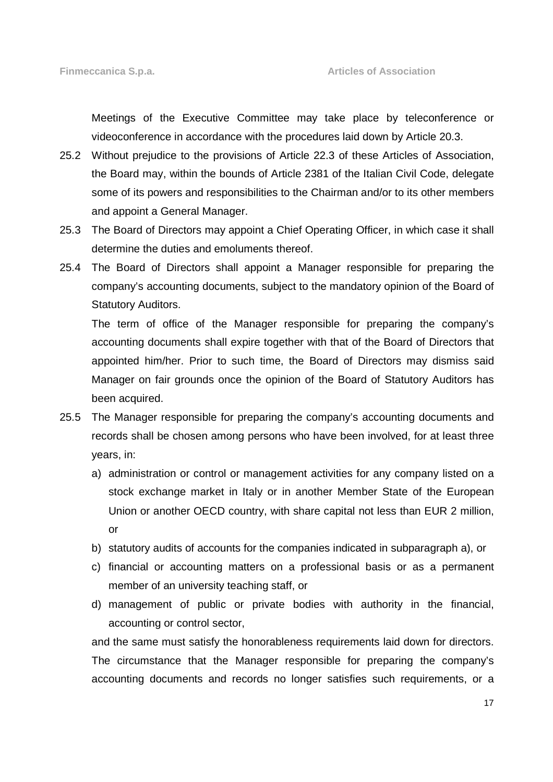Meetings of the Executive Committee may take place by teleconference or videoconference in accordance with the procedures laid down by Article 20.3.

- 25.2 Without prejudice to the provisions of Article 22.3 of these Articles of Association, the Board may, within the bounds of Article 2381 of the Italian Civil Code, delegate some of its powers and responsibilities to the Chairman and/or to its other members and appoint a General Manager.
- 25.3 The Board of Directors may appoint a Chief Operating Officer, in which case it shall determine the duties and emoluments thereof.
- 25.4 The Board of Directors shall appoint a Manager responsible for preparing the company's accounting documents, subject to the mandatory opinion of the Board of Statutory Auditors.

 The term of office of the Manager responsible for preparing the company's accounting documents shall expire together with that of the Board of Directors that appointed him/her. Prior to such time, the Board of Directors may dismiss said Manager on fair grounds once the opinion of the Board of Statutory Auditors has been acquired.

- 25.5 The Manager responsible for preparing the company's accounting documents and records shall be chosen among persons who have been involved, for at least three years, in:
	- a) administration or control or management activities for any company listed on a stock exchange market in Italy or in another Member State of the European Union or another OECD country, with share capital not less than EUR 2 million, or
	- b) statutory audits of accounts for the companies indicated in subparagraph a), or
	- c) financial or accounting matters on a professional basis or as a permanent member of an university teaching staff, or
	- d) management of public or private bodies with authority in the financial, accounting or control sector,

and the same must satisfy the honorableness requirements laid down for directors. The circumstance that the Manager responsible for preparing the company's accounting documents and records no longer satisfies such requirements, or a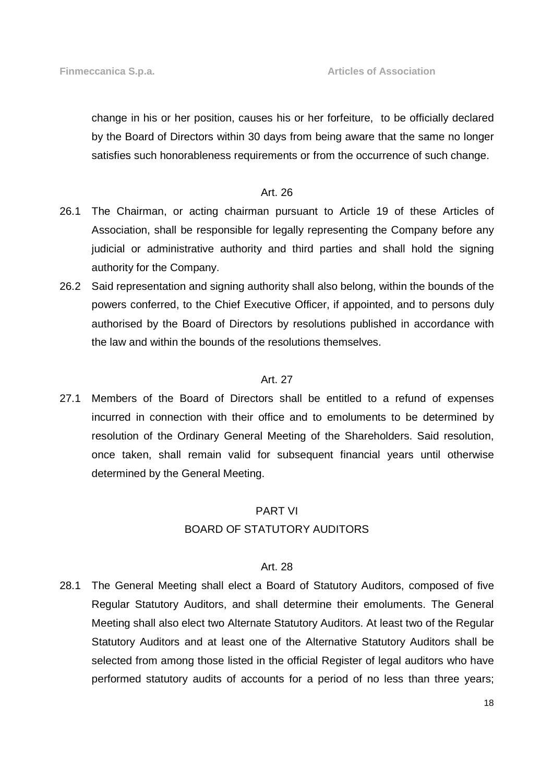change in his or her position, causes his or her forfeiture, to be officially declared by the Board of Directors within 30 days from being aware that the same no longer satisfies such honorableness requirements or from the occurrence of such change.

#### Art. 26

- 26.1 The Chairman, or acting chairman pursuant to Article 19 of these Articles of Association, shall be responsible for legally representing the Company before any judicial or administrative authority and third parties and shall hold the signing authority for the Company.
- 26.2 Said representation and signing authority shall also belong, within the bounds of the powers conferred, to the Chief Executive Officer, if appointed, and to persons duly authorised by the Board of Directors by resolutions published in accordance with the law and within the bounds of the resolutions themselves.

#### Art. 27

27.1 Members of the Board of Directors shall be entitled to a refund of expenses incurred in connection with their office and to emoluments to be determined by resolution of the Ordinary General Meeting of the Shareholders. Said resolution, once taken, shall remain valid for subsequent financial years until otherwise determined by the General Meeting.

#### PART VI

#### BOARD OF STATUTORY AUDITORS

#### Art. 28

28.1 The General Meeting shall elect a Board of Statutory Auditors, composed of five Regular Statutory Auditors, and shall determine their emoluments. The General Meeting shall also elect two Alternate Statutory Auditors. At least two of the Regular Statutory Auditors and at least one of the Alternative Statutory Auditors shall be selected from among those listed in the official Register of legal auditors who have performed statutory audits of accounts for a period of no less than three years;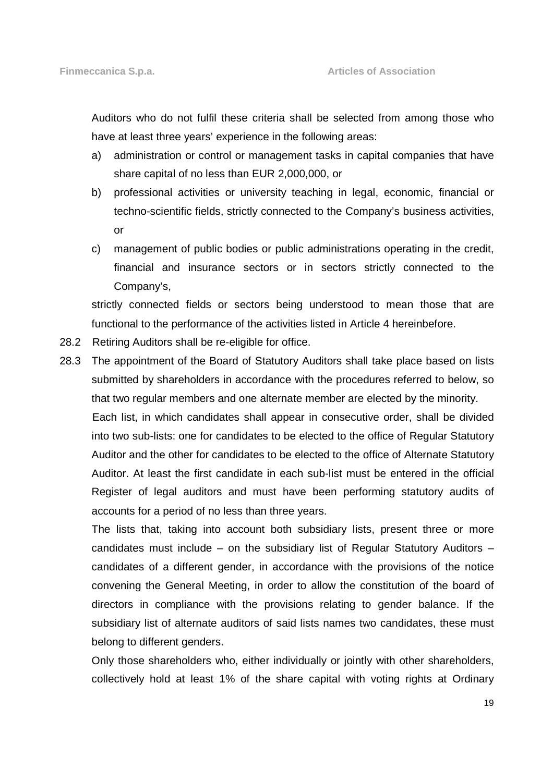Auditors who do not fulfil these criteria shall be selected from among those who have at least three years' experience in the following areas:

- a) administration or control or management tasks in capital companies that have share capital of no less than EUR 2,000,000, or
- b) professional activities or university teaching in legal, economic, financial or techno-scientific fields, strictly connected to the Company's business activities, or
- c) management of public bodies or public administrations operating in the credit, financial and insurance sectors or in sectors strictly connected to the Company's,

 strictly connected fields or sectors being understood to mean those that are functional to the performance of the activities listed in Article 4 hereinbefore.

- 28.2 Retiring Auditors shall be re-eligible for office.
- 28.3 The appointment of the Board of Statutory Auditors shall take place based on lists submitted by shareholders in accordance with the procedures referred to below, so that two regular members and one alternate member are elected by the minority. Each list, in which candidates shall appear in consecutive order, shall be divided into two sub-lists: one for candidates to be elected to the office of Regular Statutory Auditor and the other for candidates to be elected to the office of Alternate Statutory Auditor. At least the first candidate in each sub-list must be entered in the official Register of legal auditors and must have been performing statutory audits of accounts for a period of no less than three years.

 The lists that, taking into account both subsidiary lists, present three or more candidates must include – on the subsidiary list of Regular Statutory Auditors – candidates of a different gender, in accordance with the provisions of the notice convening the General Meeting, in order to allow the constitution of the board of directors in compliance with the provisions relating to gender balance. If the subsidiary list of alternate auditors of said lists names two candidates, these must belong to different genders.

 Only those shareholders who, either individually or jointly with other shareholders, collectively hold at least 1% of the share capital with voting rights at Ordinary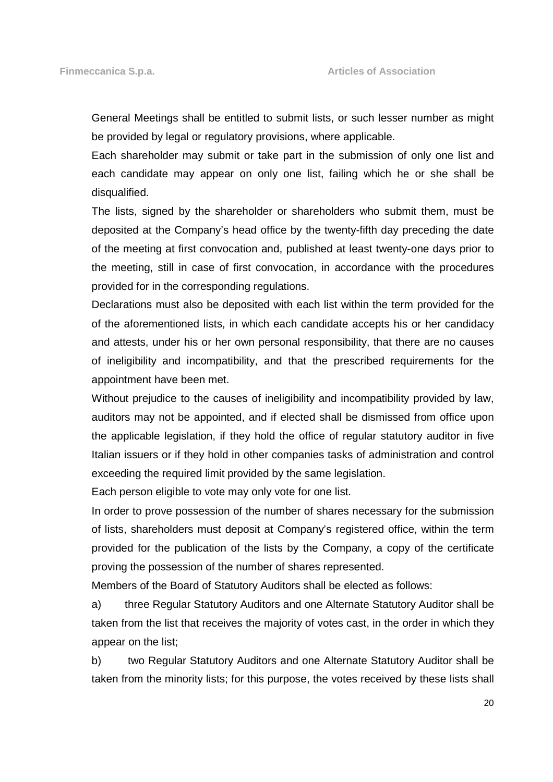General Meetings shall be entitled to submit lists, or such lesser number as might be provided by legal or regulatory provisions, where applicable.

 Each shareholder may submit or take part in the submission of only one list and each candidate may appear on only one list, failing which he or she shall be disqualified.

 The lists, signed by the shareholder or shareholders who submit them, must be deposited at the Company's head office by the twenty-fifth day preceding the date of the meeting at first convocation and, published at least twenty-one days prior to the meeting, still in case of first convocation, in accordance with the procedures provided for in the corresponding regulations.

 Declarations must also be deposited with each list within the term provided for the of the aforementioned lists, in which each candidate accepts his or her candidacy and attests, under his or her own personal responsibility, that there are no causes of ineligibility and incompatibility, and that the prescribed requirements for the appointment have been met.

 Without prejudice to the causes of ineligibility and incompatibility provided by law, auditors may not be appointed, and if elected shall be dismissed from office upon the applicable legislation, if they hold the office of regular statutory auditor in five Italian issuers or if they hold in other companies tasks of administration and control exceeding the required limit provided by the same legislation.

Each person eligible to vote may only vote for one list.

 In order to prove possession of the number of shares necessary for the submission of lists, shareholders must deposit at Company's registered office, within the term provided for the publication of the lists by the Company, a copy of the certificate proving the possession of the number of shares represented.

Members of the Board of Statutory Auditors shall be elected as follows:

 a) three Regular Statutory Auditors and one Alternate Statutory Auditor shall be taken from the list that receives the majority of votes cast, in the order in which they appear on the list;

 b) two Regular Statutory Auditors and one Alternate Statutory Auditor shall be taken from the minority lists; for this purpose, the votes received by these lists shall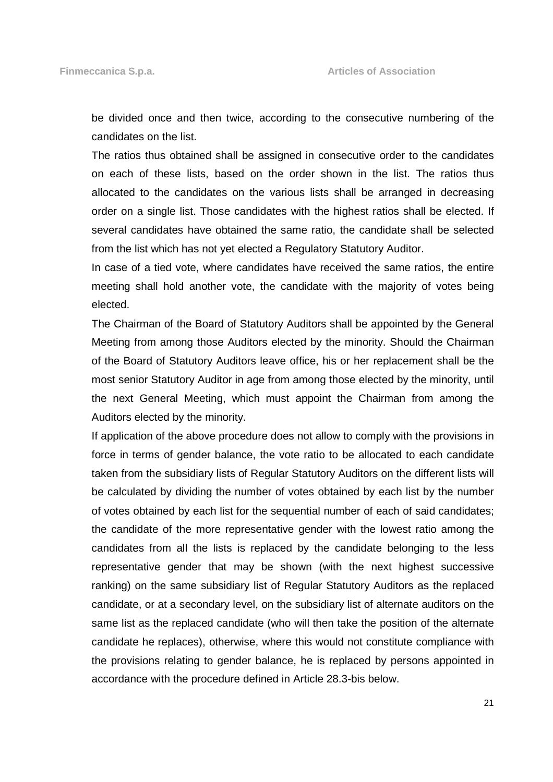be divided once and then twice, according to the consecutive numbering of the candidates on the list.

 The ratios thus obtained shall be assigned in consecutive order to the candidates on each of these lists, based on the order shown in the list. The ratios thus allocated to the candidates on the various lists shall be arranged in decreasing order on a single list. Those candidates with the highest ratios shall be elected. If several candidates have obtained the same ratio, the candidate shall be selected from the list which has not yet elected a Regulatory Statutory Auditor.

 In case of a tied vote, where candidates have received the same ratios, the entire meeting shall hold another vote, the candidate with the majority of votes being elected.

 The Chairman of the Board of Statutory Auditors shall be appointed by the General Meeting from among those Auditors elected by the minority. Should the Chairman of the Board of Statutory Auditors leave office, his or her replacement shall be the most senior Statutory Auditor in age from among those elected by the minority, until the next General Meeting, which must appoint the Chairman from among the Auditors elected by the minority.

 If application of the above procedure does not allow to comply with the provisions in force in terms of gender balance, the vote ratio to be allocated to each candidate taken from the subsidiary lists of Regular Statutory Auditors on the different lists will be calculated by dividing the number of votes obtained by each list by the number of votes obtained by each list for the sequential number of each of said candidates; the candidate of the more representative gender with the lowest ratio among the candidates from all the lists is replaced by the candidate belonging to the less representative gender that may be shown (with the next highest successive ranking) on the same subsidiary list of Regular Statutory Auditors as the replaced candidate, or at a secondary level, on the subsidiary list of alternate auditors on the same list as the replaced candidate (who will then take the position of the alternate candidate he replaces), otherwise, where this would not constitute compliance with the provisions relating to gender balance, he is replaced by persons appointed in accordance with the procedure defined in Article 28.3-bis below.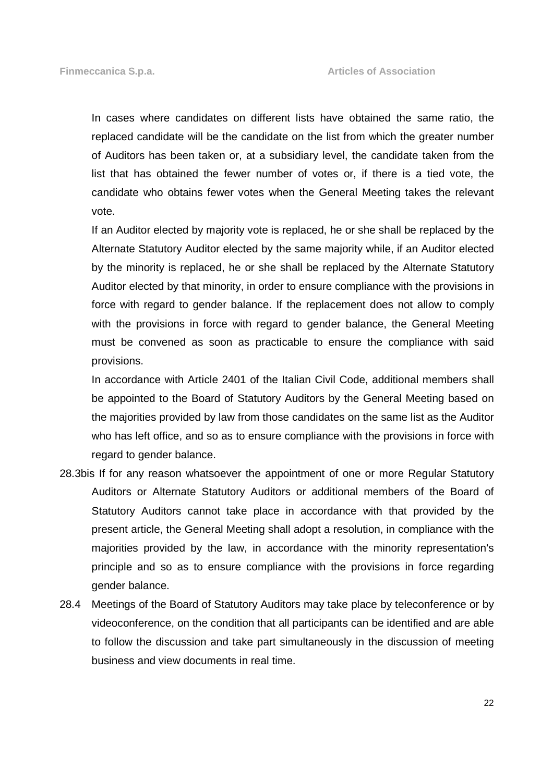In cases where candidates on different lists have obtained the same ratio, the replaced candidate will be the candidate on the list from which the greater number of Auditors has been taken or, at a subsidiary level, the candidate taken from the list that has obtained the fewer number of votes or, if there is a tied vote, the candidate who obtains fewer votes when the General Meeting takes the relevant vote.

 If an Auditor elected by majority vote is replaced, he or she shall be replaced by the Alternate Statutory Auditor elected by the same majority while, if an Auditor elected by the minority is replaced, he or she shall be replaced by the Alternate Statutory Auditor elected by that minority, in order to ensure compliance with the provisions in force with regard to gender balance. If the replacement does not allow to comply with the provisions in force with regard to gender balance, the General Meeting must be convened as soon as practicable to ensure the compliance with said provisions.

 In accordance with Article 2401 of the Italian Civil Code, additional members shall be appointed to the Board of Statutory Auditors by the General Meeting based on the majorities provided by law from those candidates on the same list as the Auditor who has left office, and so as to ensure compliance with the provisions in force with regard to gender balance.

- 28.3bis If for any reason whatsoever the appointment of one or more Regular Statutory Auditors or Alternate Statutory Auditors or additional members of the Board of Statutory Auditors cannot take place in accordance with that provided by the present article, the General Meeting shall adopt a resolution, in compliance with the majorities provided by the law, in accordance with the minority representation's principle and so as to ensure compliance with the provisions in force regarding gender balance.
- 28.4 Meetings of the Board of Statutory Auditors may take place by teleconference or by videoconference, on the condition that all participants can be identified and are able to follow the discussion and take part simultaneously in the discussion of meeting business and view documents in real time.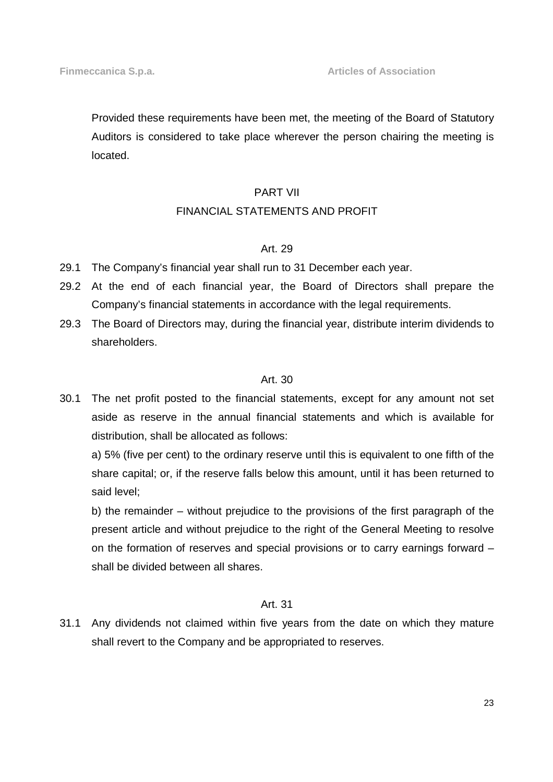Provided these requirements have been met, the meeting of the Board of Statutory Auditors is considered to take place wherever the person chairing the meeting is located.

## PART VII

## FINANCIAL STATEMENTS AND PROFIT

#### Art. 29

- 29.1 The Company's financial year shall run to 31 December each year.
- 29.2 At the end of each financial year, the Board of Directors shall prepare the Company's financial statements in accordance with the legal requirements.
- 29.3 The Board of Directors may, during the financial year, distribute interim dividends to shareholders.

## Art. 30

30.1 The net profit posted to the financial statements, except for any amount not set aside as reserve in the annual financial statements and which is available for distribution, shall be allocated as follows:

 a) 5% (five per cent) to the ordinary reserve until this is equivalent to one fifth of the share capital; or, if the reserve falls below this amount, until it has been returned to said level;

 b) the remainder – without prejudice to the provisions of the first paragraph of the present article and without prejudice to the right of the General Meeting to resolve on the formation of reserves and special provisions or to carry earnings forward – shall be divided between all shares.

## Art. 31

31.1 Any dividends not claimed within five years from the date on which they mature shall revert to the Company and be appropriated to reserves.